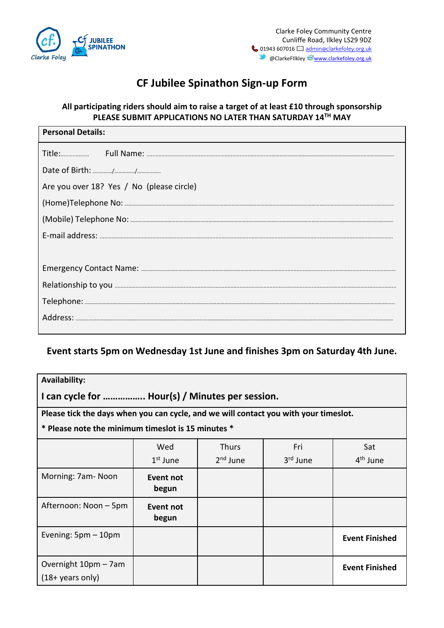

# **CF Jubilee Spinathon Sign-up Form**

### **All participating riders should aim to raise a target of at least £10 through sponsorship PLEASE SUBMIT APPLICATIONS NO LATER THAN SATURDAY 14TH MAY**

| <b>Personal Details:</b>                                                                                       |
|----------------------------------------------------------------------------------------------------------------|
| Title: Full Name: Ellinger Allian Announce Allian Announce Allian Announce Allian Announce Allian Announce All |
|                                                                                                                |
| Are you over 18? Yes / No (please circle)                                                                      |
|                                                                                                                |
|                                                                                                                |
|                                                                                                                |
|                                                                                                                |
|                                                                                                                |
|                                                                                                                |
|                                                                                                                |
|                                                                                                                |
|                                                                                                                |

## **Event starts 5pm on Wednesday 1st June and finishes 3pm on Saturday 4th June.**

| <b>Availability:</b>                                                                 |                    |              |          |                       |  |
|--------------------------------------------------------------------------------------|--------------------|--------------|----------|-----------------------|--|
| I can cycle for  Hour(s) / Minutes per session.                                      |                    |              |          |                       |  |
| Please tick the days when you can cycle, and we will contact you with your timeslot. |                    |              |          |                       |  |
| * Please note the minimum timeslot is 15 minutes *                                   |                    |              |          |                       |  |
|                                                                                      | Wed                | <b>Thurs</b> | Fri      | Sat                   |  |
|                                                                                      | $1st$ June         | $2nd$ June   | 3rd June | 4 <sup>th</sup> June  |  |
| Morning: 7am-Noon                                                                    | Event not<br>begun |              |          |                       |  |
| Afternoon: Noon – 5pm                                                                | Event not<br>begun |              |          |                       |  |
| Evening: $5pm - 10pm$                                                                |                    |              |          | <b>Event Finished</b> |  |
| Overnight 10pm - 7am                                                                 |                    |              |          | <b>Event Finished</b> |  |
| $(18 + \text{years only})$                                                           |                    |              |          |                       |  |